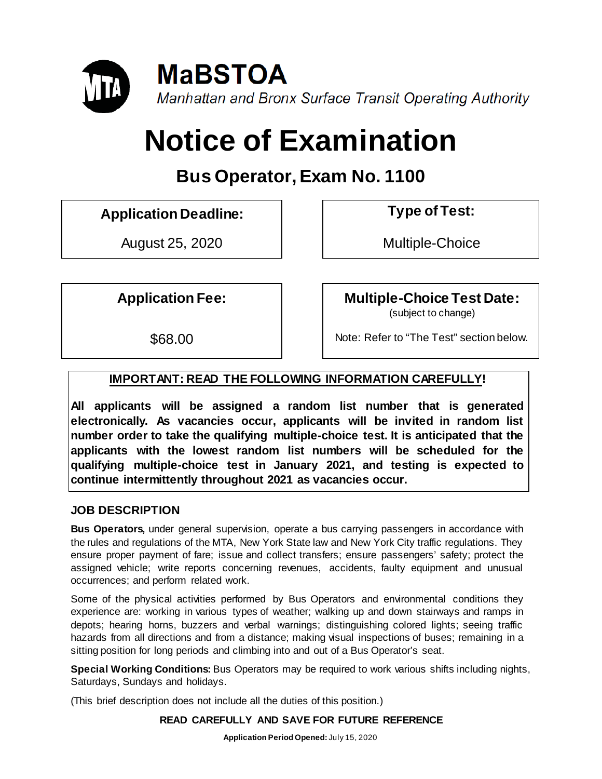

# **Notice of Examination**

# **Bus Operator,Exam No. 1100**

**Application Deadline: Type of Test:** 

August 25, 2020 | | Multiple-Choice

Application Fee:  $\vert$  **Multiple-Choice Test Date:** 

(subject to change)

\$68.00 Note: Refer to "The Test" section below.

# **IMPORTANT: READ THE FOLLOWING INFORMATION CAREFULLY!**

**All applicants will be assigned a random list number that is generated electronically. As vacancies occur, applicants will be invited in random list number order to take the qualifying multiple-choice test. It is anticipated that the applicants with the lowest random list numbers will be scheduled for the qualifying multiple-choice test in January 2021, and testing is expected to continue intermittently throughout 2021 as vacancies occur.**

#### **JOB DESCRIPTION**

**Bus Operators,** under general supervision, operate a bus carrying passengers in accordance with the rules and regulations of the MTA, New York State law and New York City traffic regulations. They ensure proper payment of fare; issue and collect transfers; ensure passengers' safety; protect the assigned vehicle; write reports concerning revenues, accidents, faulty equipment and unusual occurrences; and perform related work.

Some of the physical activities performed by Bus Operators and environmental conditions they experience are: working in various types of weather; walking up and down stairways and ramps in depots; hearing horns, buzzers and verbal warnings; distinguishing colored lights; seeing traffic hazards from all directions and from a distance; making visual inspections of buses; remaining in a sitting position for long periods and climbing into and out of a Bus Operator's seat.

**Special Working Conditions:** Bus Operators may be required to work various shifts including nights, Saturdays, Sundays and holidays.

(This brief description does not include all the duties of this position.)

**READ CAREFULLY AND SAVE FOR FUTURE REFERENCE**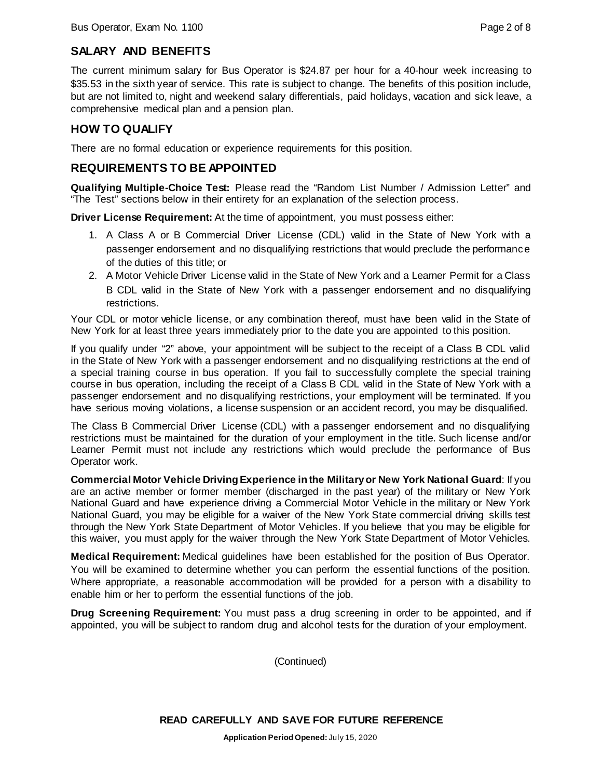#### **SALARY AND BENEFITS**

The current minimum salary for Bus Operator is \$24.87 per hour for a 40-hour week increasing to \$35.53 in the sixth year of service. This rate is subject to change. The benefits of this position include, but are not limited to, night and weekend salary differentials, paid holidays, vacation and sick leave, a comprehensive medical plan and a pension plan.

#### **HOW TO QUALIFY**

There are no formal education or experience requirements for this position.

#### **REQUIREMENTS TO BE APPOINTED**

**Qualifying Multiple-Choice Test:** Please read the "Random List Number / Admission Letter" and "The Test" sections below in their entirety for an explanation of the selection process.

**Driver License Requirement:** At the time of appointment, you must possess either:

- 1. A Class A or B Commercial Driver License (CDL) valid in the State of New York with a passenger endorsement and no disqualifying restrictions that would preclude the performance of the duties of this title; or
- 2. A Motor Vehicle Driver License valid in the State of New York and a Learner Permit for a Class B CDL valid in the State of New York with a passenger endorsement and no disqualifying restrictions.

Your CDL or motor vehicle license, or any combination thereof, must have been valid in the State of New York for at least three years immediately prior to the date you are appointed to this position.

If you qualify under "2" above, your appointment will be subject to the receipt of a Class B CDL valid in the State of New York with a passenger endorsement and no disqualifying restrictions at the end of a special training course in bus operation. If you fail to successfully complete the special training course in bus operation, including the receipt of a Class B CDL valid in the State of New York with a passenger endorsement and no disqualifying restrictions, your employment will be terminated. If you have serious moving violations, a license suspension or an accident record, you may be disqualified.

The Class B Commercial Driver License (CDL) with a passenger endorsement and no disqualifying restrictions must be maintained for the duration of your employment in the title. Such license and/or Learner Permit must not include any restrictions which would preclude the performance of Bus Operator work.

**Commercial Motor Vehicle Driving Experience in the Military or New York National Guard**: If you are an active member or former member (discharged in the past year) of the military or New York National Guard and have experience driving a Commercial Motor Vehicle in the military or New York National Guard, you may be eligible for a waiver of the New York State commercial driving skills test through the New York State Department of Motor Vehicles. If you believe that you may be eligible for this waiver, you must apply for the waiver through the New York State Department of Motor Vehicles.

**Medical Requirement:** Medical guidelines have been established for the position of Bus Operator. You will be examined to determine whether you can perform the essential functions of the position. Where appropriate, a reasonable accommodation will be provided for a person with a disability to enable him or her to perform the essential functions of the job.

**Drug Screening Requirement:** You must pass a drug screening in order to be appointed, and if appointed, you will be subject to random drug and alcohol tests for the duration of your employment.

(Continued)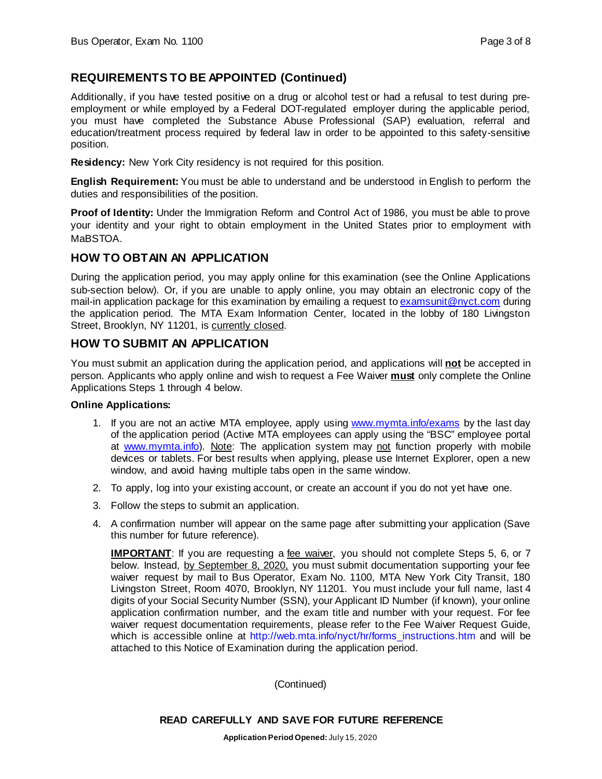#### **REQUIREMENTS TO BE APPOINTED (Continued)**

Additionally, if you have tested positive on a drug or alcohol test or had a refusal to test during preemployment or while employed by a Federal DOT-regulated employer during the applicable period, you must have completed the Substance Abuse Professional (SAP) evaluation, referral and education/treatment process required by federal law in order to be appointed to this safety-sensitive position.

**Residency:** New York City residency is not required for this position.

**English Requirement:** You must be able to understand and be understood in English to perform the duties and responsibilities of the position.

**Proof of Identity:** Under the Immigration Reform and Control Act of 1986, you must be able to prove your identity and your right to obtain employment in the United States prior to employment with MaBSTOA.

#### **HOW TO OBTAIN AN APPLICATION**

During the application period, you may apply online for this examination (see the Online Applications sub-section below). Or, if you are unable to apply online, you may obtain an electronic copy of the mail-in application package for this examination by emailing a request to [examsunit@nyct.com](mailto:examsunit@nyct.com) during the application period. The MTA Exam Information Center, located in the lobby of 180 Livingston Street, Brooklyn, NY 11201, is currently closed.

#### **HOW TO SUBMIT AN APPLICATION**

You must submit an application during the application period, and applications will **not** be accepted in person. Applicants who apply online and wish to request a Fee Waiver **must** only complete the Online Applications Steps 1 through 4 below.

#### **Online Applications:**

- 1. If you are not an active MTA employee, apply using [www.mymta.info/exams](http://www.mymta.info/exams) by the last day of the application period (Active MTA employees can apply using the "BSC" employee portal at [www.mymta.info\)](http://www.mymta.info/). Note: The application system may not function properly with mobile devices or tablets. For best results when applying, please use Internet Explorer, open a new window, and avoid having multiple tabs open in the same window.
- 2. To apply, log into your existing account, or create an account if you do not yet have one.
- 3. Follow the steps to submit an application.
- 4. A confirmation number will appear on the same page after submitting your application (Save this number for future reference).

**IMPORTANT**: If you are requesting a fee waiver, you should not complete Steps 5, 6, or 7 below. Instead, by September 8, 2020, you must submit documentation supporting your fee waiver request by mail to Bus Operator, Exam No. 1100, MTA New York City Transit, 180 Livingston Street, Room 4070, Brooklyn, NY 11201. You must include your full name, last 4 digits of your Social Security Number (SSN), your Applicant ID Number (if known), your online application confirmation number, and the exam title and number with your request. For fee waiver request documentation requirements, please refer to the Fee Waiver Request Guide, which is accessible online at http://[web.mta.info/nyct/hr/forms\\_instructions.htm](http://web.mta.info/nyct/hr/forms_instructions.htm) and will be attached to this Notice of Examination during the application period.

(Continued)

#### **READ CAREFULLY AND SAVE FOR FUTURE REFERENCE**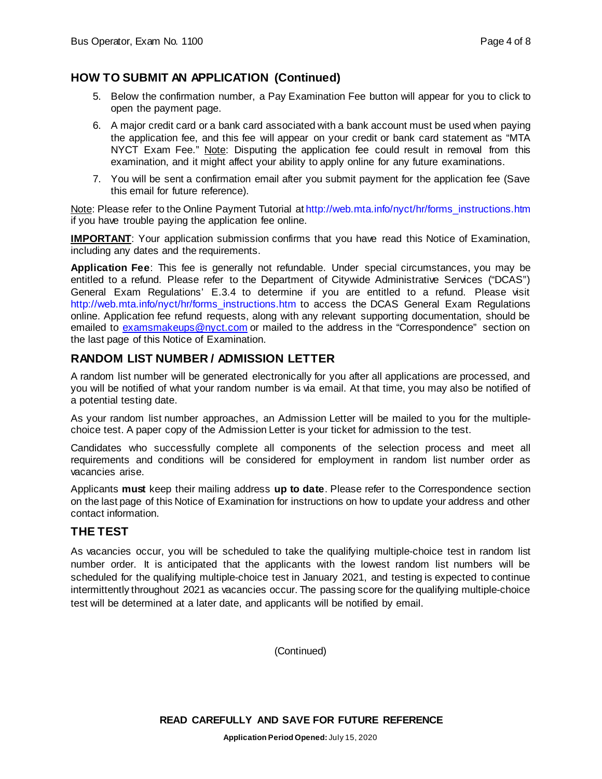### **HOW TO SUBMIT AN APPLICATION (Continued)**

- 5. Below the confirmation number, a Pay Examination Fee button will appear for you to click to open the payment page.
- 6. A major credit card or a bank card associated with a bank account must be used when paying the application fee, and this fee will appear on your credit or bank card statement as "MTA NYCT Exam Fee." Note: Disputing the application fee could result in removal from this examination, and it might affect your ability to apply online for any future examinations.
- 7. You will be sent a confirmation email after you submit payment for the application fee (Save this email for future reference).

Note: Please refer to the Online Payment Tutorial at [http://web.mta.info/nyct/hr/forms\\_instructions.htm](http://web.mta.info/nyct/hr/forms_instructions.htm) if you have trouble paying the application fee online.

**IMPORTANT:** Your application submission confirms that you have read this Notice of Examination, including any dates and the requirements.

**Application Fee**: This fee is generally not refundable. Under special circumstances, you may be entitled to a refund. Please refer to the Department of Citywide Administrative Services ("DCAS") General Exam Regulations' E.3.4 to determine if you are entitled to a refund. Please visit [http://web.mta.info/nyct/hr/forms\\_instructions.htm](http://web.mta.info/nyct/hr/forms_instructions.htm) to access the DCAS General Exam Regulations online. Application fee refund requests, along with any relevant supporting documentation, should be emailed to [examsmakeups@nyct.com](mailto:examsmakeups@nyct.com) or mailed to the address in the "Correspondence" section on the last page of this Notice of Examination.

#### **RANDOM LIST NUMBER / ADMISSION LETTER**

A random list number will be generated electronically for you after all applications are processed, and you will be notified of what your random number is via email. At that time, you may also be notified of a potential testing date.

As your random list number approaches, an Admission Letter will be mailed to you for the multiplechoice test. A paper copy of the Admission Letter is your ticket for admission to the test.

Candidates who successfully complete all components of the selection process and meet all requirements and conditions will be considered for employment in random list number order as vacancies arise.

Applicants **must** keep their mailing address **up to date**. Please refer to the Correspondence section on the last page of this Notice of Examination for instructions on how to update your address and other contact information.

#### **THE TEST**

As vacancies occur, you will be scheduled to take the qualifying multiple-choice test in random list number order. It is anticipated that the applicants with the lowest random list numbers will be scheduled for the qualifying multiple-choice test in January 2021, and testing is expected to continue intermittently throughout 2021 as vacancies occur. The passing score for the qualifying multiple-choice test will be determined at a later date, and applicants will be notified by email.

(Continued)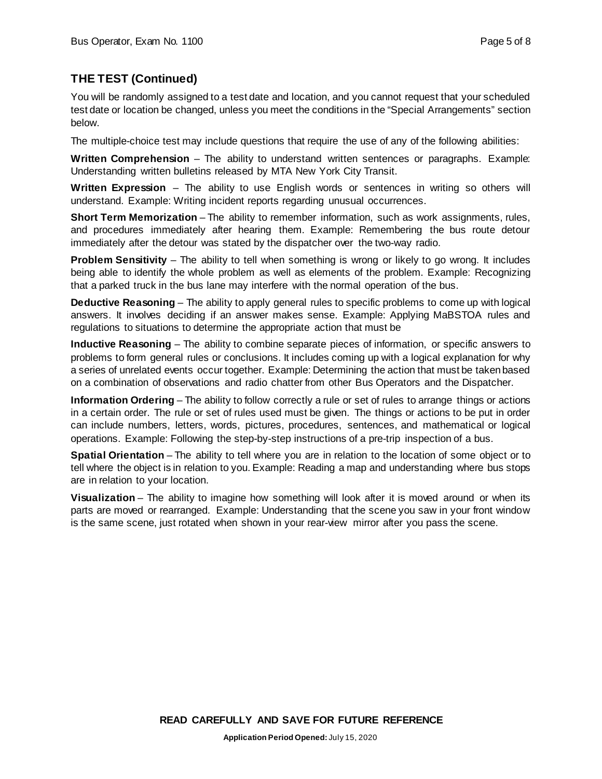## **THE TEST (Continued)**

You will be randomly assigned to a test date and location, and you cannot request that your scheduled test date or location be changed, unless you meet the conditions in the "Special Arrangements" section below.

The multiple-choice test may include questions that require the use of any of the following abilities:

**Written Comprehension** – The ability to understand written sentences or paragraphs. Example: Understanding written bulletins released by MTA New York City Transit.

**Written Expression** – The ability to use English words or sentences in writing so others will understand. Example: Writing incident reports regarding unusual occurrences.

**Short Term Memorization** – The ability to remember information, such as work assignments, rules, and procedures immediately after hearing them. Example: Remembering the bus route detour immediately after the detour was stated by the dispatcher over the two-way radio.

**Problem Sensitivity** – The ability to tell when something is wrong or likely to go wrong. It includes being able to identify the whole problem as well as elements of the problem. Example: Recognizing that a parked truck in the bus lane may interfere with the normal operation of the bus.

**Deductive Reasoning** – The ability to apply general rules to specific problems to come up with logical answers. It involves deciding if an answer makes sense. Example: Applying MaBSTOA rules and regulations to situations to determine the appropriate action that must be

**Inductive Reasoning** – The ability to combine separate pieces of information, or specific answers to problems to form general rules or conclusions. It includes coming up with a logical explanation for why a series of unrelated events occur together. Example: Determining the action that must be taken based on a combination of observations and radio chatter from other Bus Operators and the Dispatcher.

**Information Ordering** – The ability to follow correctly a rule or set of rules to arrange things or actions in a certain order. The rule or set of rules used must be given. The things or actions to be put in order can include numbers, letters, words, pictures, procedures, sentences, and mathematical or logical operations. Example: Following the step-by-step instructions of a pre-trip inspection of a bus.

**Spatial Orientation** – The ability to tell where you are in relation to the location of some object or to tell where the object is in relation to you. Example: Reading a map and understanding where bus stops are in relation to your location.

**Visualization** – The ability to imagine how something will look after it is moved around or when its parts are moved or rearranged. Example: Understanding that the scene you saw in your front window is the same scene, just rotated when shown in your rear-view mirror after you pass the scene.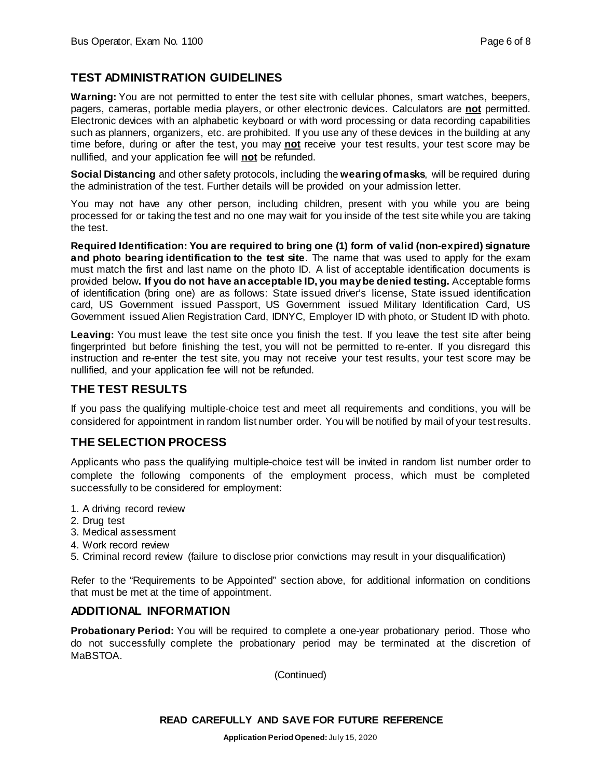#### **TEST ADMINISTRATION GUIDELINES**

**Warning:** You are not permitted to enter the test site with cellular phones, smart watches, beepers, pagers, cameras, portable media players, or other electronic devices. Calculators are **not** permitted. Electronic devices with an alphabetic keyboard or with word processing or data recording capabilities such as planners, organizers, etc. are prohibited. If you use any of these devices in the building at any time before, during or after the test, you may **not** receive your test results, your test score may be nullified, and your application fee will **not** be refunded.

**Social Distancing** and other safety protocols, including the **wearing of masks**, will be required during the administration of the test. Further details will be provided on your admission letter.

You may not have any other person, including children, present with you while you are being processed for or taking the test and no one may wait for you inside of the test site while you are taking the test.

**Required Identification: You are required to bring one (1) form of valid (non-expired) signature and photo bearing identification to the test site**. The name that was used to apply for the exam must match the first and last name on the photo ID. A list of acceptable identification documents is provided below**. If you do not have an acceptable ID, you may be denied testing.** Acceptable forms of identification (bring one) are as follows: State issued driver's license, State issued identification card, US Government issued Passport, US Government issued Military Identification Card, US Government issued Alien Registration Card, IDNYC, Employer ID with photo, or Student ID with photo.

Leaving: You must leave the test site once you finish the test. If you leave the test site after being fingerprinted but before finishing the test, you will not be permitted to re-enter. If you disregard this instruction and re-enter the test site, you may not receive your test results, your test score may be nullified, and your application fee will not be refunded.

#### **THE TEST RESULTS**

If you pass the qualifying multiple-choice test and meet all requirements and conditions, you will be considered for appointment in random list number order. You will be notified by mail of your test results.

#### **THE SELECTION PROCESS**

Applicants who pass the qualifying multiple-choice test will be invited in random list number order to complete the following components of the employment process, which must be completed successfully to be considered for employment:

- 1. A driving record review
- 2. Drug test
- 3. Medical assessment
- 4. Work record review
- 5. Criminal record review (failure to disclose prior convictions may result in your disqualification)

Refer to the "Requirements to be Appointed" section above, for additional information on conditions that must be met at the time of appointment.

#### **ADDITIONAL INFORMATION**

**Probationary Period:** You will be required to complete a one-year probationary period. Those who do not successfully complete the probationary period may be terminated at the discretion of MaBSTOA.

(Continued)

#### **READ CAREFULLY AND SAVE FOR FUTURE REFERENCE**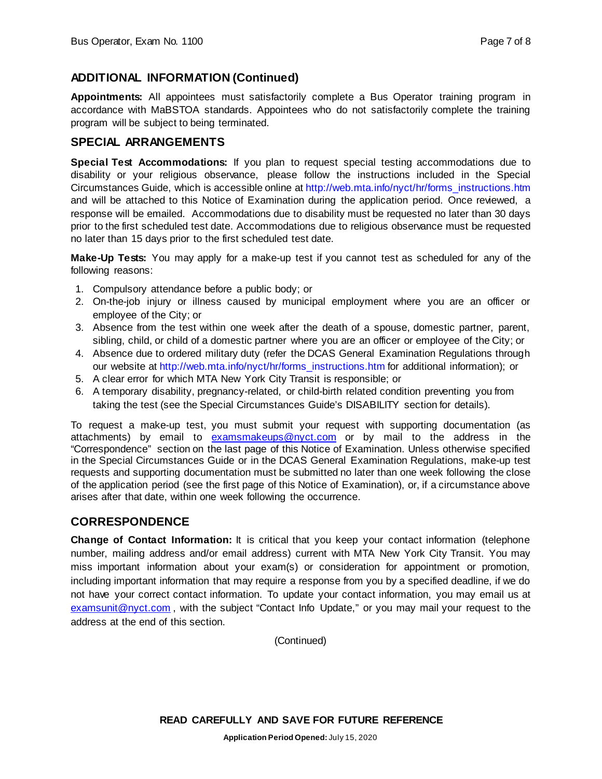### **ADDITIONAL INFORMATION (Continued)**

**Appointments:** All appointees must satisfactorily complete a Bus Operator training program in accordance with MaBSTOA standards. Appointees who do not satisfactorily complete the training program will be subject to being terminated.

#### **SPECIAL ARRANGEMENTS**

**Special Test Accommodations:** If you plan to request special testing accommodations due to disability or your religious observance, please follow the instructions included in the Special Circumstances Guide, which is accessible online at [http://web.mta.info/nyct/hr/forms\\_instructions.htm](http://web.mta.info/nyct/hr/forms_instructions.htm)  and will be attached to this Notice of Examination during the application period. Once reviewed, a response will be emailed. Accommodations due to disability must be requested no later than 30 days prior to the first scheduled test date. Accommodations due to religious observance must be requested no later than 15 days prior to the first scheduled test date.

**Make-Up Tests:** You may apply for a make-up test if you cannot test as scheduled for any of the following reasons:

- 1. Compulsory attendance before a public body; or
- 2. On-the-job injury or illness caused by municipal employment where you are an officer or employee of the City; or
- 3. Absence from the test within one week after the death of a spouse, domestic partner, parent, sibling, child, or child of a domestic partner where you are an officer or employee of the City; or
- 4. Absence due to ordered military duty (refer the DCAS General Examination Regulations through our website at [http://web.mta.info/nyct/hr/forms\\_instructions.htm](http://web.mta.info/nyct/hr/forms_instructions.htm) for additional information); or
- 5. A clear error for which MTA New York City Transit is responsible; or
- 6. A temporary disability, pregnancy-related, or child-birth related condition preventing you from taking the test (see the Special Circumstances Guide's DISABILITY section for details).

To request a make-up test, you must submit your request with supporting documentation (as attachments) by email to [examsmakeups@nyct.com](mailto:examsmakeups@nyct.com) or by mail to the address in the "Correspondence" section on the last page of this Notice of Examination. Unless otherwise specified in the Special Circumstances Guide or in the DCAS General Examination Regulations, make-up test requests and supporting documentation must be submitted no later than one week following the close of the application period (see the first page of this Notice of Examination), or, if a circumstance above arises after that date, within one week following the occurrence.

#### **CORRESPONDENCE**

**Change of Contact Information:** It is critical that you keep your contact information (telephone number, mailing address and/or email address) current with MTA New York City Transit. You may miss important information about your exam(s) or consideration for appointment or promotion, including important information that may require a response from you by a specified deadline, if we do not have your correct contact information. To update your contact information, you may email us at [examsunit@nyct.com](mailto:examsunit@nyct.com), with the subject "Contact Info Update," or you may mail your request to the address at the end of this section.

(Continued)